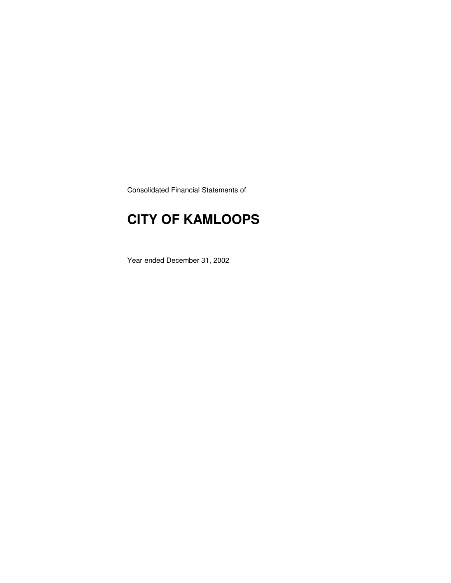Consolidated Financial Statements of

## **CITY OF KAMLOOPS**

Year ended December 31, 2002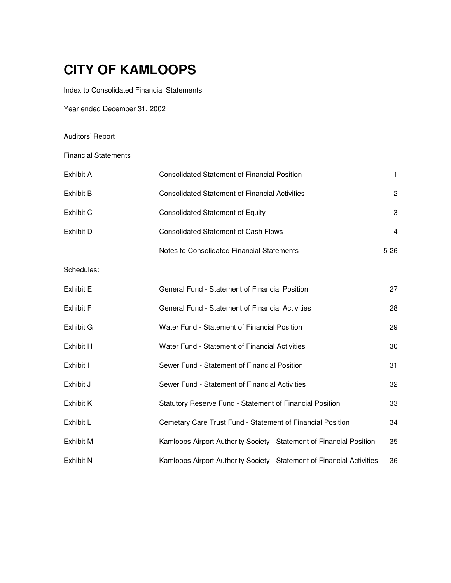Index to Consolidated Financial Statements

Year ended December 31, 2002

Auditors' Report

Financial Statements

| Exhibit A        | <b>Consolidated Statement of Financial Position</b>                    | $\mathbf{1}$   |
|------------------|------------------------------------------------------------------------|----------------|
| Exhibit B        | <b>Consolidated Statement of Financial Activities</b>                  | $\overline{2}$ |
| Exhibit C        | <b>Consolidated Statement of Equity</b>                                | 3              |
| Exhibit D        | <b>Consolidated Statement of Cash Flows</b>                            | 4              |
|                  | Notes to Consolidated Financial Statements                             | $5 - 26$       |
| Schedules:       |                                                                        |                |
| <b>Exhibit E</b> | General Fund - Statement of Financial Position                         | 27             |
| <b>Exhibit F</b> | General Fund - Statement of Financial Activities                       | 28             |
| <b>Exhibit G</b> | Water Fund - Statement of Financial Position                           | 29             |
| Exhibit H        | Water Fund - Statement of Financial Activities                         | 30             |
| Exhibit I        | Sewer Fund - Statement of Financial Position                           | 31             |
| Exhibit J        | Sewer Fund - Statement of Financial Activities                         | 32             |
| Exhibit K        | Statutory Reserve Fund - Statement of Financial Position               | 33             |
| Exhibit L        | Cemetary Care Trust Fund - Statement of Financial Position             | 34             |
| Exhibit M        | Kamloops Airport Authority Society - Statement of Financial Position   | 35             |
| <b>Exhibit N</b> | Kamloops Airport Authority Society - Statement of Financial Activities | 36             |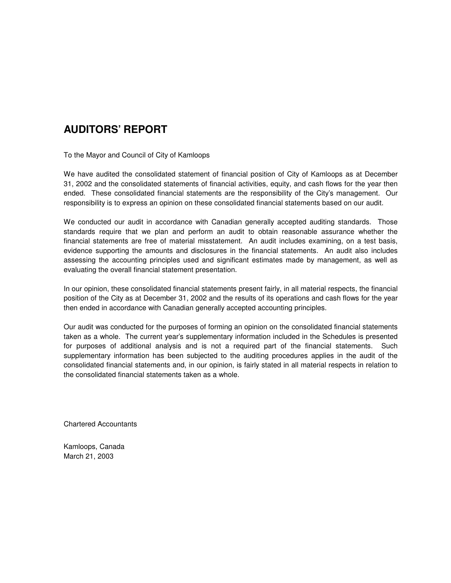### **AUDITORS' REPORT**

To the Mayor and Council of City of Kamloops

We have audited the consolidated statement of financial position of City of Kamloops as at December 31, 2002 and the consolidated statements of financial activities, equity, and cash flows for the year then ended. These consolidated financial statements are the responsibility of the City's management. Our responsibility is to express an opinion on these consolidated financial statements based on our audit.

We conducted our audit in accordance with Canadian generally accepted auditing standards. Those standards require that we plan and perform an audit to obtain reasonable assurance whether the financial statements are free of material misstatement. An audit includes examining, on a test basis, evidence supporting the amounts and disclosures in the financial statements. An audit also includes assessing the accounting principles used and significant estimates made by management, as well as evaluating the overall financial statement presentation.

In our opinion, these consolidated financial statements present fairly, in all material respects, the financial position of the City as at December 31, 2002 and the results of its operations and cash flows for the year then ended in accordance with Canadian generally accepted accounting principles.

Our audit was conducted for the purposes of forming an opinion on the consolidated financial statements taken as a whole. The current year's supplementary information included in the Schedules is presented for purposes of additional analysis and is not a required part of the financial statements. Such supplementary information has been subjected to the auditing procedures applies in the audit of the consolidated financial statements and, in our opinion, is fairly stated in all material respects in relation to the consolidated financial statements taken as a whole.

Chartered Accountants

Kamloops, Canada March 21, 2003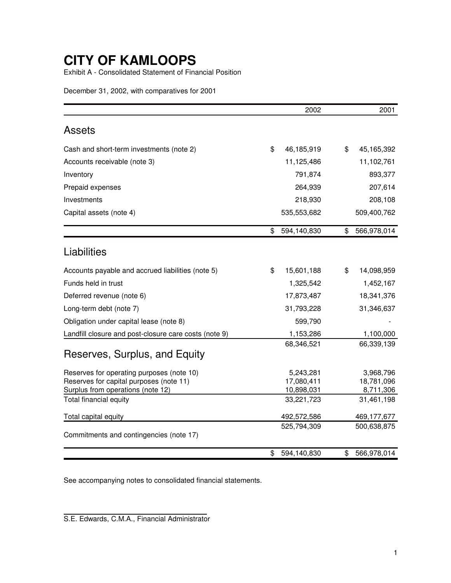Exhibit A - Consolidated Statement of Financial Position

December 31, 2002, with comparatives for 2001

|                                                             | 2002                     | 2001                    |
|-------------------------------------------------------------|--------------------------|-------------------------|
| <b>Assets</b>                                               |                          |                         |
| Cash and short-term investments (note 2)                    | \$<br>46,185,919         | \$<br>45,165,392        |
| Accounts receivable (note 3)                                | 11,125,486               | 11,102,761              |
| Inventory                                                   | 791,874                  | 893,377                 |
| Prepaid expenses                                            | 264,939                  | 207,614                 |
| Investments                                                 | 218,930                  | 208,108                 |
| Capital assets (note 4)                                     | 535,553,682              | 509,400,762             |
|                                                             | \$<br>594,140,830        | \$<br>566,978,014       |
| Liabilities                                                 |                          |                         |
| Accounts payable and accrued liabilities (note 5)           | \$<br>15,601,188         | \$<br>14,098,959        |
| Funds held in trust                                         | 1,325,542                | 1,452,167               |
| Deferred revenue (note 6)                                   | 17,873,487               | 18,341,376              |
| Long-term debt (note 7)                                     | 31,793,228               | 31,346,637              |
| Obligation under capital lease (note 8)                     | 599,790                  |                         |
| Landfill closure and post-closure care costs (note 9)       | 1,153,286                | 1,100,000               |
|                                                             | 68,346,521               | 66,339,139              |
| Reserves, Surplus, and Equity                               |                          |                         |
| Reserves for operating purposes (note 10)                   | 5,243,281                | 3,968,796               |
| Reserves for capital purposes (note 11)                     | 17,080,411               | 18,781,096              |
| Surplus from operations (note 12)<br>Total financial equity | 10,898,031<br>33,221,723 | 8,711,306<br>31,461,198 |
|                                                             |                          |                         |
| Total capital equity                                        | 492,572,586              | 469, 177, 677           |
| Commitments and contingencies (note 17)                     | 525,794,309              | 500,638,875             |
|                                                             | \$<br>594,140,830        | \$<br>566,978,014       |

S.E. Edwards, C.M.A., Financial Administrator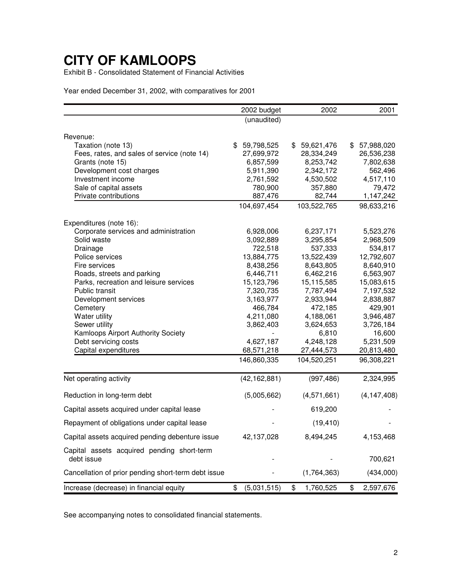Exhibit B - Consolidated Statement of Financial Activities

Year ended December 31, 2002, with comparatives for 2001

|                                                          | 2002 budget       | 2002            | 2001             |
|----------------------------------------------------------|-------------------|-----------------|------------------|
|                                                          | (unaudited)       |                 |                  |
| Revenue:                                                 |                   |                 |                  |
| Taxation (note 13)                                       | 59,798,525<br>\$  | \$59,621,476    | \$<br>57,988,020 |
| Fees, rates, and sales of service (note 14)              | 27,699,972        | 28,334,249      | 26,536,238       |
| Grants (note 15)                                         | 6,857,599         | 8,253,742       | 7,802,638        |
| Development cost charges                                 | 5,911,390         | 2,342,172       | 562,496          |
| Investment income                                        | 2,761,592         | 4,530,502       | 4,517,110        |
| Sale of capital assets                                   | 780,900           | 357,880         | 79,472           |
| Private contributions                                    | 887,476           | 82,744          | 1,147,242        |
|                                                          | 104,697,454       | 103,522,765     | 98,633,216       |
| Expenditures (note 16):                                  |                   |                 |                  |
| Corporate services and administration                    | 6,928,006         | 6,237,171       | 5,523,276        |
| Solid waste                                              | 3,092,889         | 3,295,854       | 2,968,509        |
| Drainage                                                 | 722,518           | 537,333         | 534,817          |
| Police services                                          | 13,884,775        | 13,522,439      | 12,792,607       |
| Fire services                                            | 8,438,256         | 8,643,805       | 8,640,910        |
| Roads, streets and parking                               | 6,446,711         | 6,462,216       | 6,563,907        |
| Parks, recreation and leisure services                   | 15,123,796        | 15,115,585      | 15,083,615       |
| Public transit                                           | 7,320,735         | 7,787,494       | 7,197,532        |
| Development services                                     | 3,163,977         | 2,933,944       | 2,838,887        |
| Cemetery                                                 | 466,784           | 472,185         | 429,901          |
| Water utility                                            | 4,211,080         | 4,188,061       | 3,946,487        |
| Sewer utility                                            | 3,862,403         | 3,624,653       | 3,726,184        |
| Kamloops Airport Authority Society                       |                   | 6,810           | 16,600           |
| Debt servicing costs                                     | 4,627,187         | 4,248,128       | 5,231,509        |
| Capital expenditures                                     | 68,571,218        | 27,444,573      | 20,813,480       |
|                                                          | 146,860,335       | 104,520,251     | 96,308,221       |
| Net operating activity                                   | (42, 162, 881)    | (997, 486)      | 2,324,995        |
| Reduction in long-term debt                              | (5,005,662)       | (4,571,661)     | (4, 147, 408)    |
| Capital assets acquired under capital lease              |                   | 619,200         |                  |
| Repayment of obligations under capital lease             |                   | (19, 410)       |                  |
| Capital assets acquired pending debenture issue          | 42,137,028        | 8,494,245       | 4,153,468        |
| Capital assets acquired pending short-term<br>debt issue |                   |                 | 700,621          |
| Cancellation of prior pending short-term debt issue      |                   | (1,764,363)     | (434,000)        |
| Increase (decrease) in financial equity                  | \$<br>(5,031,515) | 1,760,525<br>\$ | \$<br>2,597,676  |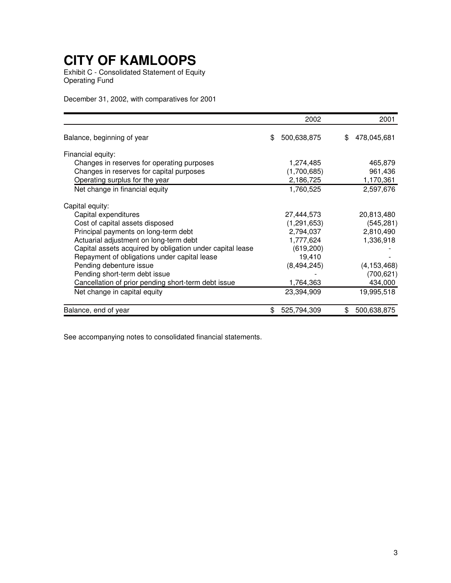Exhibit C - Consolidated Statement of Equity Operating Fund

December 31, 2002, with comparatives for 2001

|                                                           | 2002              | 2001              |
|-----------------------------------------------------------|-------------------|-------------------|
| Balance, beginning of year                                | \$<br>500,638,875 | \$<br>478,045,681 |
| Financial equity:                                         |                   |                   |
| Changes in reserves for operating purposes                | 1,274,485         | 465,879           |
| Changes in reserves for capital purposes                  | (1,700,685)       | 961,436           |
| Operating surplus for the year                            | 2,186,725         | 1,170,361         |
| Net change in financial equity                            | 1,760,525         | 2,597,676         |
| Capital equity:                                           |                   |                   |
| Capital expenditures                                      | 27,444,573        | 20,813,480        |
| Cost of capital assets disposed                           | (1, 291, 653)     | (545, 281)        |
| Principal payments on long-term debt                      | 2,794,037         | 2,810,490         |
| Actuarial adjustment on long-term debt                    | 1,777,624         | 1,336,918         |
| Capital assets acquired by obligation under capital lease | (619, 200)        |                   |
| Repayment of obligations under capital lease              | 19,410            |                   |
| Pending debenture issue                                   | (8,494,245)       | (4, 153, 468)     |
| Pending short-term debt issue                             |                   | (700, 621)        |
| Cancellation of prior pending short-term debt issue       | 1,764,363         | 434,000           |
| Net change in capital equity                              | 23,394,909        | 19,995,518        |
| Balance, end of year                                      | \$<br>525,794,309 | \$<br>500,638,875 |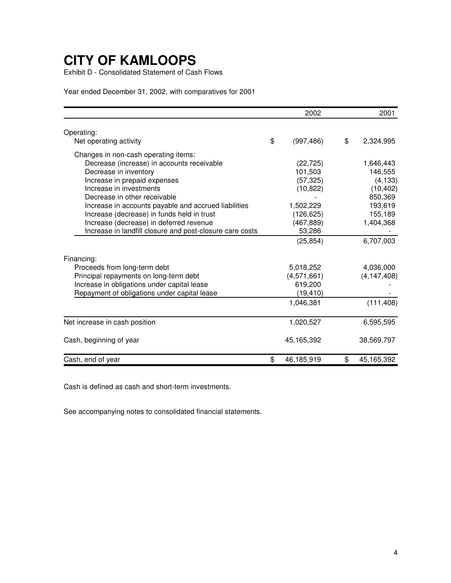Exhibit D - Consolidated Statement of Cash Flows

Year ended December 31, 2002, with comparatives for 2001

|                                                                                                                                                                                                                                                                                                                                                                                                                     |    | 2002                                                                                              | 2001 |                                                                                             |
|---------------------------------------------------------------------------------------------------------------------------------------------------------------------------------------------------------------------------------------------------------------------------------------------------------------------------------------------------------------------------------------------------------------------|----|---------------------------------------------------------------------------------------------------|------|---------------------------------------------------------------------------------------------|
| Operating:                                                                                                                                                                                                                                                                                                                                                                                                          |    |                                                                                                   |      |                                                                                             |
| Net operating activity                                                                                                                                                                                                                                                                                                                                                                                              | \$ | (997, 486)                                                                                        | \$   | 2,324,995                                                                                   |
| Changes in non-cash operating items:<br>Decrease (increase) in accounts receivable<br>Decrease in inventory<br>Increase in prepaid expenses<br>Increase in investments<br>Decrease in other receivable<br>Increase in accounts payable and accrued liabilities<br>Increase (decrease) in funds held in trust<br>Increase (decrease) in deferred revenue<br>Increase in landfill closure and post-closure care costs |    | (22, 725)<br>101,503<br>(57, 325)<br>(10, 822)<br>1,502,229<br>(126, 625)<br>(467, 889)<br>53,286 |      | 1,646,443<br>146,555<br>(4, 133)<br>(10, 402)<br>850,369<br>193,619<br>155,189<br>1,404,368 |
|                                                                                                                                                                                                                                                                                                                                                                                                                     |    | (25, 854)                                                                                         |      | 6,707,003                                                                                   |
| Financing:<br>Proceeds from long-term debt<br>Principal repayments on long-term debt<br>Increase in obligations under capital lease<br>Repayment of obligations under capital lease                                                                                                                                                                                                                                 |    | 5,018,252<br>(4,571,661)<br>619,200<br>(19, 410)<br>1,046,381                                     |      | 4,036,000<br>(4, 147, 408)<br>(111, 408)                                                    |
|                                                                                                                                                                                                                                                                                                                                                                                                                     |    |                                                                                                   |      |                                                                                             |
| Net increase in cash position                                                                                                                                                                                                                                                                                                                                                                                       |    | 1,020,527                                                                                         |      | 6,595,595                                                                                   |
| Cash, beginning of year                                                                                                                                                                                                                                                                                                                                                                                             |    | 45,165,392                                                                                        |      | 38,569,797                                                                                  |
| Cash, end of year                                                                                                                                                                                                                                                                                                                                                                                                   | \$ | 46,185,919                                                                                        | \$   | 45,165,392                                                                                  |

Cash is defined as cash and short-term investments.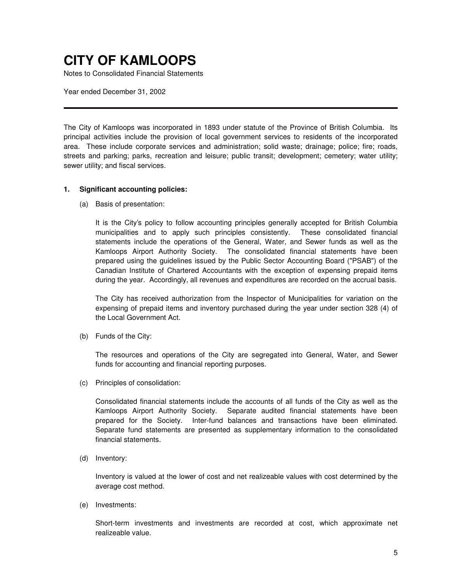Notes to Consolidated Financial Statements

Year ended December 31, 2002

The City of Kamloops was incorporated in 1893 under statute of the Province of British Columbia. Its principal activities include the provision of local government services to residents of the incorporated area. These include corporate services and administration; solid waste; drainage; police; fire; roads, streets and parking; parks, recreation and leisure; public transit; development; cemetery; water utility; sewer utility; and fiscal services.

#### **1. Significant accounting policies:**

(a) Basis of presentation:

It is the City's policy to follow accounting principles generally accepted for British Columbia municipalities and to apply such principles consistently. These consolidated financial statements include the operations of the General, Water, and Sewer funds as well as the Kamloops Airport Authority Society. The consolidated financial statements have been prepared using the guidelines issued by the Public Sector Accounting Board ("PSAB") of the Canadian Institute of Chartered Accountants with the exception of expensing prepaid items during the year. Accordingly, all revenues and expenditures are recorded on the accrual basis.

The City has received authorization from the Inspector of Municipalities for variation on the expensing of prepaid items and inventory purchased during the year under section 328 (4) of the Local Government Act.

(b) Funds of the City:

The resources and operations of the City are segregated into General, Water, and Sewer funds for accounting and financial reporting purposes.

(c) Principles of consolidation:

Consolidated financial statements include the accounts of all funds of the City as well as the Kamloops Airport Authority Society. Separate audited financial statements have been prepared for the Society. Inter-fund balances and transactions have been eliminated. Separate fund statements are presented as supplementary information to the consolidated financial statements.

(d) Inventory:

Inventory is valued at the lower of cost and net realizeable values with cost determined by the average cost method.

(e) Investments:

Short-term investments and investments are recorded at cost, which approximate net realizeable value.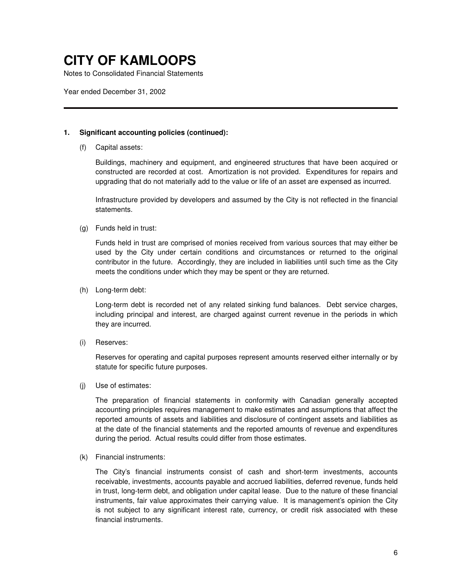Notes to Consolidated Financial Statements

Year ended December 31, 2002

#### **1. Significant accounting policies (continued):**

(f) Capital assets:

Buildings, machinery and equipment, and engineered structures that have been acquired or constructed are recorded at cost. Amortization is not provided. Expenditures for repairs and upgrading that do not materially add to the value or life of an asset are expensed as incurred.

Infrastructure provided by developers and assumed by the City is not reflected in the financial statements.

(g) Funds held in trust:

Funds held in trust are comprised of monies received from various sources that may either be used by the City under certain conditions and circumstances or returned to the original contributor in the future. Accordingly, they are included in liabilities until such time as the City meets the conditions under which they may be spent or they are returned.

(h) Long-term debt:

Long-term debt is recorded net of any related sinking fund balances. Debt service charges, including principal and interest, are charged against current revenue in the periods in which they are incurred.

(i) Reserves:

Reserves for operating and capital purposes represent amounts reserved either internally or by statute for specific future purposes.

(j) Use of estimates:

The preparation of financial statements in conformity with Canadian generally accepted accounting principles requires management to make estimates and assumptions that affect the reported amounts of assets and liabilities and disclosure of contingent assets and liabilities as at the date of the financial statements and the reported amounts of revenue and expenditures during the period. Actual results could differ from those estimates.

(k) Financial instruments:

The City's financial instruments consist of cash and short-term investments, accounts receivable, investments, accounts payable and accrued liabilities, deferred revenue, funds held in trust, long-term debt, and obligation under capital lease. Due to the nature of these financial instruments, fair value approximates their carrying value. It is management's opinion the City is not subject to any significant interest rate, currency, or credit risk associated with these financial instruments.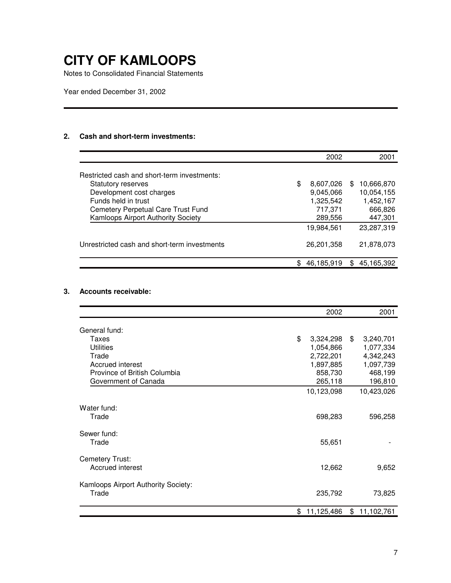Notes to Consolidated Financial Statements

Year ended December 31, 2002

### **2. Cash and short-term investments:**

|                                              | 2002            |     | 2001       |
|----------------------------------------------|-----------------|-----|------------|
| Restricted cash and short-term investments:  |                 |     |            |
| Statutory reserves                           | \$<br>8,607,026 | \$. | 10,666,870 |
| Development cost charges                     | 9,045,066       |     | 10,054,155 |
| Funds held in trust                          | 1,325,542       |     | 1,452,167  |
| Cemetery Perpetual Care Trust Fund           | 717,371         |     | 666,826    |
| <b>Kamloops Airport Authority Society</b>    | 289,556         |     | 447,301    |
|                                              | 19,984,561      |     | 23,287,319 |
| Unrestricted cash and short-term investments | 26, 201, 358    |     | 21,878,073 |
|                                              | 46,185,919      | \$  | 45.165.392 |

### **3. Accounts receivable:**

|                                     | 2002             | 2001            |
|-------------------------------------|------------------|-----------------|
| General fund:                       |                  |                 |
| Taxes                               | \$<br>3,324,298  | \$<br>3,240,701 |
| <b>Utilities</b>                    | 1,054,866        | 1,077,334       |
| Trade                               | 2,722,201        | 4,342,243       |
| Accrued interest                    | 1,897,885        | 1,097,739       |
| Province of British Columbia        | 858,730          | 468,199         |
| Government of Canada                | 265,118          | 196,810         |
|                                     | 10,123,098       | 10,423,026      |
| Water fund:                         |                  |                 |
| Trade                               | 698,283          | 596,258         |
| Sewer fund:                         |                  |                 |
| Trade                               | 55,651           |                 |
| Cemetery Trust:                     |                  |                 |
| Accrued interest                    | 12,662           | 9,652           |
| Kamloops Airport Authority Society: |                  |                 |
| Trade                               | 235,792          | 73,825          |
|                                     | \$<br>11,125,486 | \$11,102,761    |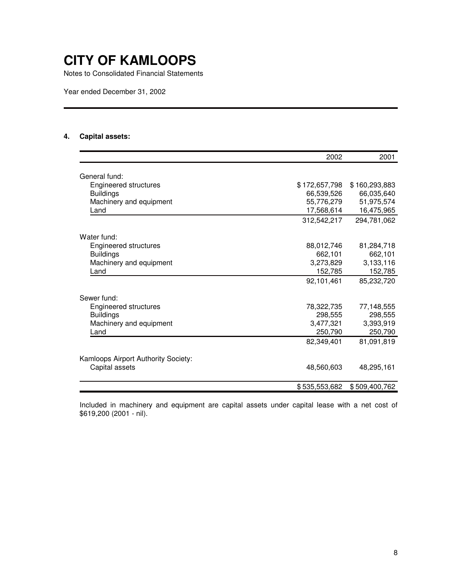Notes to Consolidated Financial Statements

Year ended December 31, 2002

#### **4. Capital assets:**

|                                     | 2002          | 2001          |
|-------------------------------------|---------------|---------------|
|                                     |               |               |
| General fund:                       |               |               |
| <b>Engineered structures</b>        | \$172,657,798 | \$160,293,883 |
| <b>Buildings</b>                    | 66,539,526    | 66,035,640    |
| Machinery and equipment             | 55,776,279    | 51,975,574    |
| Land                                | 17,568,614    | 16,475,965    |
|                                     | 312,542,217   | 294,781,062   |
| Water fund:                         |               |               |
| <b>Engineered structures</b>        | 88,012,746    | 81,284,718    |
| <b>Buildings</b>                    | 662,101       | 662,101       |
| Machinery and equipment             | 3,273,829     | 3,133,116     |
| Land                                | 152,785       | 152,785       |
|                                     | 92,101,461    | 85,232,720    |
| Sewer fund:                         |               |               |
| <b>Engineered structures</b>        | 78,322,735    | 77,148,555    |
| <b>Buildings</b>                    | 298,555       | 298,555       |
| Machinery and equipment             | 3,477,321     | 3,393,919     |
| Land                                | 250,790       | 250,790       |
|                                     | 82,349,401    | 81,091,819    |
| Kamloops Airport Authority Society: |               |               |
| Capital assets                      | 48,560,603    | 48,295,161    |
|                                     |               |               |
|                                     | \$535,553,682 | \$509,400,762 |

Included in machinery and equipment are capital assets under capital lease with a net cost of \$619,200 (2001 - nil).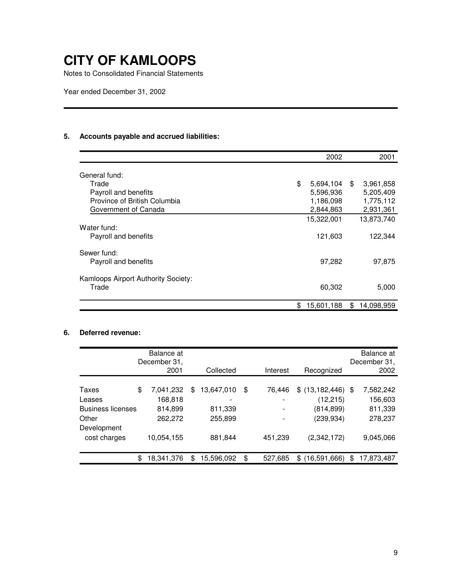Notes to Consolidated Financial Statements

Year ended December 31, 2002

### **5. Accounts payable and accrued liabilities:**

|                                     | 2002                 | 2001             |
|-------------------------------------|----------------------|------------------|
| General fund:                       |                      |                  |
| Trade                               | \$<br>$5,694,104$ \$ | 3,961,858        |
| Payroll and benefits                | 5,596,936            | 5,205,409        |
| Province of British Columbia        | 1,186,098            | 1,775,112        |
| Government of Canada                | 2,844,863            | 2,931,361        |
|                                     | 15,322,001           | 13,873,740       |
| Water fund:                         |                      |                  |
| Payroll and benefits                | 121,603              | 122,344          |
| Sewer fund:                         |                      |                  |
| Payroll and benefits                | 97,282               | 97,875           |
| Kamloops Airport Authority Society: |                      |                  |
| Trade                               | 60,302               | 5,000            |
|                                     | \$<br>15,601,188     | \$<br>14,098,959 |

### **6. Deferred revenue:**

|                          | Balance at<br>December 31,<br>2001 |     | Collected  | Interest     | Recognized           | Balance at<br>December 31,<br>2002 |
|--------------------------|------------------------------------|-----|------------|--------------|----------------------|------------------------------------|
|                          |                                    |     |            |              |                      |                                    |
| Taxes                    | \$<br>7,041,232                    | \$  | 13,647,010 | \$<br>76.446 | $$$ (13,182,446) $$$ | 7,582,242                          |
| Leases                   | 168,818                            |     |            |              | (12, 215)            | 156,603                            |
| <b>Business licenses</b> | 814,899                            |     | 811,339    |              | (814, 899)           | 811,339                            |
| Other                    | 262,272                            |     | 255,899    |              | (239, 934)           | 278,237                            |
| Development              |                                    |     |            |              |                      |                                    |
| cost charges             | 10,054,155                         |     | 881,844    | 451,239      | (2,342,172)          | 9,045,066                          |
|                          | \$<br>18,341,376                   | \$. | 15,596,092 | 527,685      | (16,591,666)<br>\$.  | \$<br>17,873,487                   |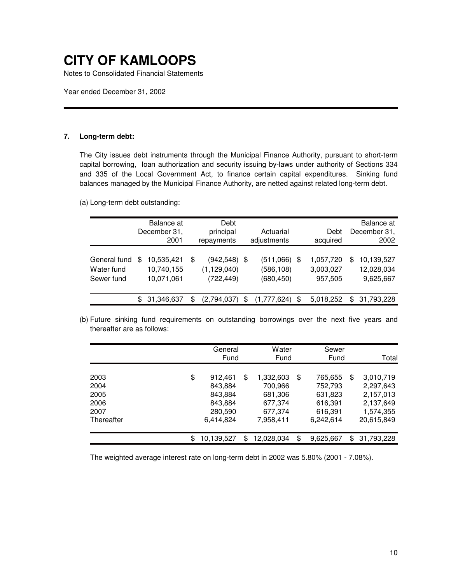Notes to Consolidated Financial Statements

Year ended December 31, 2002

#### **7. Long-term debt:**

The City issues debt instruments through the Municipal Finance Authority, pursuant to short-term capital borrowing, loan authorization and security issuing by-laws under authority of Sections 334 and 335 of the Local Government Act, to finance certain capital expenditures. Sinking fund balances managed by the Municipal Finance Authority, are netted against related long-term debt.

(a) Long-term debt outstanding:

|                                          |    | Balance at<br>December 31,<br>2001     |    | Debt<br>principal<br>repayments                | Actuarial<br>adjustments                   |   | Debt<br>acquired                  |     | Balance at<br>December 31,<br>2002    |
|------------------------------------------|----|----------------------------------------|----|------------------------------------------------|--------------------------------------------|---|-----------------------------------|-----|---------------------------------------|
| General fund<br>Water fund<br>Sewer fund | S  | 10,535,421<br>10,740,155<br>10,071,061 | S  | $(942, 548)$ \$<br>(1, 129, 040)<br>(722, 449) | $(511,066)$ \$<br>(586, 108)<br>(680, 450) |   | 1,057,720<br>3,003,027<br>957,505 | \$  | 10,139,527<br>12,028,034<br>9,625,667 |
|                                          | \$ | 31,346,637                             | \$ | (2,794,037)                                    | \$<br>(1,777,624)                          | S | 5,018,252                         | \$. | 31,793,228                            |

(b) Future sinking fund requirements on outstanding borrowings over the next five years and thereafter are as follows:

|                                                    | General<br>Fund                                                        |    | Water<br>Fund                                                      |    | Sewer<br>Fund                                                    |    | Total                                                                       |
|----------------------------------------------------|------------------------------------------------------------------------|----|--------------------------------------------------------------------|----|------------------------------------------------------------------|----|-----------------------------------------------------------------------------|
| 2003<br>2004<br>2005<br>2006<br>2007<br>Thereafter | \$<br>912,461<br>843.884<br>843,884<br>843,884<br>280,590<br>6,414,824 | \$ | 1,332,603<br>700,966<br>681,306<br>677,374<br>677,374<br>7,958,411 | \$ | 765,655<br>752,793<br>631,823<br>616,391<br>616,391<br>6,242,614 | \$ | 3,010,719<br>2,297,643<br>2,157,013<br>2,137,649<br>1,574,355<br>20,615,849 |
|                                                    | \$<br>10,139,527                                                       | \$ | 12,028,034                                                         | \$ | 9,625,667                                                        | \$ | 31,793,228                                                                  |

The weighted average interest rate on long-term debt in 2002 was 5.80% (2001 - 7.08%).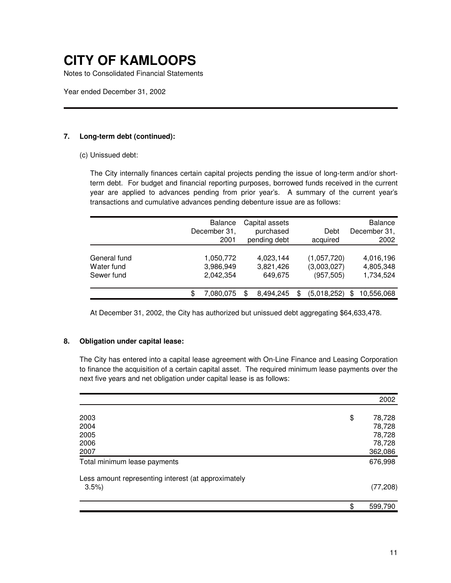Notes to Consolidated Financial Statements

Year ended December 31, 2002

### **7. Long-term debt (continued):**

(c) Unissued debt:

The City internally finances certain capital projects pending the issue of long-term and/or shortterm debt. For budget and financial reporting purposes, borrowed funds received in the current year are applied to advances pending from prior year's. A summary of the current year's transactions and cumulative advances pending debenture issue are as follows:

|                                          |   | <b>Balance</b><br>December 31,<br>2001 | Capital assets<br>purchased<br>pending debt | Debt<br>acquired                         |   | <b>Balance</b><br>December 31,<br>2002 |
|------------------------------------------|---|----------------------------------------|---------------------------------------------|------------------------------------------|---|----------------------------------------|
| General fund<br>Water fund<br>Sewer fund |   | 1,050,772<br>3,986,949<br>2,042,354    | 4,023,144<br>3,821,426<br>649,675           | (1,057,720)<br>(3,003,027)<br>(957, 505) |   | 4,016,196<br>4,805,348<br>1,734,524    |
|                                          | S | 7,080,075                              | \$<br>8,494,245                             | (5,018,252)                              | S | 10,556,068                             |

At December 31, 2002, the City has authorized but unissued debt aggregating \$64,633,478.

### **8. Obligation under capital lease:**

The City has entered into a capital lease agreement with On-Line Finance and Leasing Corporation to finance the acquisition of a certain capital asset. The required minimum lease payments over the next five years and net obligation under capital lease is as follows:

|                                                     | 2002          |
|-----------------------------------------------------|---------------|
|                                                     |               |
| 2003                                                | \$<br>78,728  |
| 2004                                                | 78,728        |
| 2005                                                | 78,728        |
| 2006                                                | 78,728        |
| 2007                                                | 362,086       |
| Total minimum lease payments                        | 676,998       |
| Less amount representing interest (at approximately |               |
| 3.5%                                                | (77, 208)     |
|                                                     | \$<br>599,790 |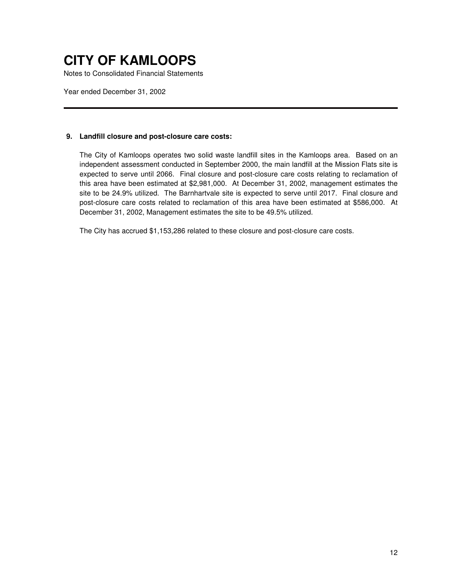Notes to Consolidated Financial Statements

Year ended December 31, 2002

#### **9. Landfill closure and post-closure care costs:**

The City of Kamloops operates two solid waste landfill sites in the Kamloops area. Based on an independent assessment conducted in September 2000, the main landfill at the Mission Flats site is expected to serve until 2066. Final closure and post-closure care costs relating to reclamation of this area have been estimated at \$2,981,000. At December 31, 2002, management estimates the site to be 24.9% utilized. The Barnhartvale site is expected to serve until 2017. Final closure and post-closure care costs related to reclamation of this area have been estimated at \$586,000. At December 31, 2002, Management estimates the site to be 49.5% utilized.

The City has accrued \$1,153,286 related to these closure and post-closure care costs.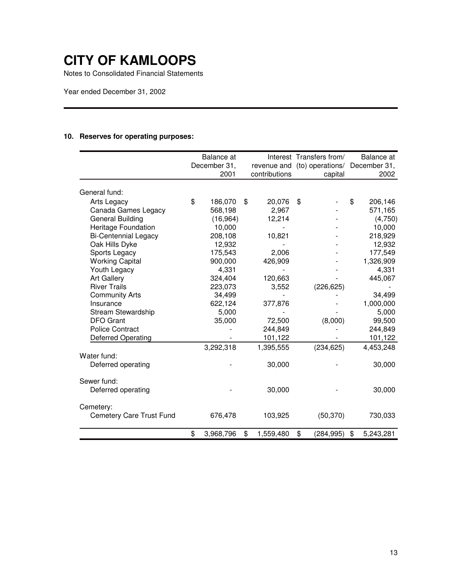Notes to Consolidated Financial Statements

Year ended December 31, 2002

### **10. Reserves for operating purposes:**

|                                 | Balance at<br>December 31,<br>2001 | revenue and (to) operations/ December 31,<br>contributions | Interest Transfers from/<br>capital | Balance at<br>2002 |
|---------------------------------|------------------------------------|------------------------------------------------------------|-------------------------------------|--------------------|
| General fund:                   |                                    |                                                            |                                     |                    |
| Arts Legacy                     | \$<br>186,070                      | \$<br>20,076                                               | \$                                  | \$<br>206,146      |
| Canada Games Legacy             | 568,198                            | 2,967                                                      |                                     | 571,165            |
| General Building                | (16, 964)                          | 12,214                                                     |                                     | (4,750)            |
| <b>Heritage Foundation</b>      | 10,000                             |                                                            |                                     | 10,000             |
| <b>Bi-Centennial Legacy</b>     | 208,108                            | 10,821                                                     |                                     | 218,929            |
| Oak Hills Dyke                  | 12,932                             |                                                            |                                     | 12,932             |
| Sports Legacy                   | 175,543                            | 2,006                                                      |                                     | 177,549            |
| <b>Working Capital</b>          | 900,000                            | 426,909                                                    |                                     | 1,326,909          |
| Youth Legacy                    | 4,331                              |                                                            |                                     | 4,331              |
| <b>Art Gallery</b>              | 324,404                            | 120,663                                                    |                                     | 445,067            |
| <b>River Trails</b>             | 223,073                            | 3,552                                                      | (226, 625)                          |                    |
| <b>Community Arts</b>           | 34,499                             |                                                            |                                     | 34,499             |
| Insurance                       | 622,124                            | 377,876                                                    |                                     | 1,000,000          |
| <b>Stream Stewardship</b>       | 5,000                              |                                                            |                                     | 5,000              |
| <b>DFO</b> Grant                | 35,000                             | 72,500                                                     | (8,000)                             | 99,500             |
| <b>Police Contract</b>          |                                    | 244,849                                                    |                                     | 244,849            |
| <b>Deferred Operating</b>       |                                    | 101,122                                                    |                                     | 101,122            |
|                                 | 3,292,318                          | 1,395,555                                                  | (234, 625)                          | 4,453,248          |
| Water fund:                     |                                    |                                                            |                                     |                    |
| Deferred operating              |                                    | 30,000                                                     |                                     | 30,000             |
| Sewer fund:                     |                                    |                                                            |                                     |                    |
| Deferred operating              |                                    | 30,000                                                     |                                     | 30,000             |
| Cemetery:                       |                                    |                                                            |                                     |                    |
| <b>Cemetery Care Trust Fund</b> | 676,478                            | 103,925                                                    | (50, 370)                           | 730,033            |
|                                 | \$<br>3,968,796                    | \$<br>1,559,480                                            | \$<br>(284, 995)                    | \$<br>5,243,281    |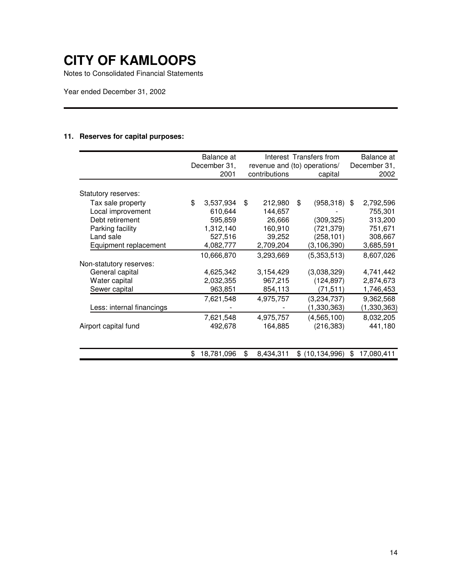Notes to Consolidated Financial Statements

Year ended December 31, 2002

### **11. Reserves for capital purposes:**

|                           | Balance at<br>December 31,<br>2001 | revenue and (to) operations/<br>contributions | Interest Transfers from<br>capital | Balance at<br>December 31,<br>2002 |
|---------------------------|------------------------------------|-----------------------------------------------|------------------------------------|------------------------------------|
| Statutory reserves:       |                                    |                                               |                                    |                                    |
| Tax sale property         | \$<br>3,537,934                    | \$<br>212,980                                 | \$<br>$(958, 318)$ \$              | 2,792,596                          |
| Local improvement         | 610,644                            | 144,657                                       |                                    | 755,301                            |
| Debt retirement           | 595,859                            | 26,666                                        | (309, 325)                         | 313,200                            |
| Parking facility          | 1,312,140                          | 160,910                                       | (721, 379)                         | 751,671                            |
| Land sale                 | 527,516                            | 39,252                                        | (258, 101)                         | 308,667                            |
| Equipment replacement     | 4,082,777                          | 2,709,204                                     | (3, 106, 390)                      | 3,685,591                          |
|                           | 10,666,870                         | 3,293,669                                     | (5,353,513)                        | 8,607,026                          |
| Non-statutory reserves:   |                                    |                                               |                                    |                                    |
| General capital           | 4,625,342                          | 3,154,429                                     | (3,038,329)                        | 4,741,442                          |
| Water capital             | 2,032,355                          | 967,215                                       | (124, 897)                         | 2,874,673                          |
| Sewer capital             | 963,851                            | 854,113                                       | (71, 511)                          | 1,746,453                          |
|                           | 7,621,548                          | 4,975,757                                     | (3,234,737)                        | 9,362,568                          |
| Less: internal financings |                                    |                                               | (1,330,363)                        | (1,330,363)                        |
|                           | 7,621,548                          | 4,975,757                                     | (4, 565, 100)                      | 8,032,205                          |
| Airport capital fund      | 492,678                            | 164,885                                       | (216, 383)                         | 441,180                            |
|                           |                                    |                                               |                                    |                                    |
|                           | \$<br>18,781,096                   | \$<br>8,434,311                               | \$(10, 134, 996)                   | \$<br>17,080,411                   |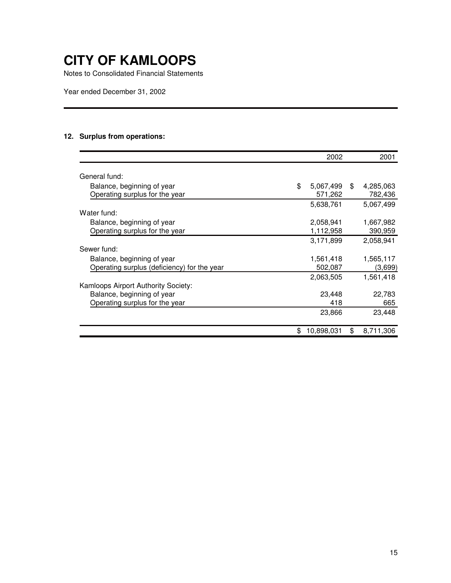Notes to Consolidated Financial Statements

Year ended December 31, 2002

### **12. Surplus from operations:**

|                                             | 2002             | 2001            |
|---------------------------------------------|------------------|-----------------|
|                                             |                  |                 |
| General fund:                               |                  |                 |
| Balance, beginning of year                  | \$<br>5,067,499  | \$<br>4,285,063 |
| Operating surplus for the year              | 571,262          | 782,436         |
|                                             | 5,638,761        | 5,067,499       |
| Water fund:                                 |                  |                 |
| Balance, beginning of year                  | 2,058,941        | 1.667.982       |
| Operating surplus for the year              | 1,112,958        | 390,959         |
|                                             | 3,171,899        | 2,058,941       |
| Sewer fund:                                 |                  |                 |
| Balance, beginning of year                  | 1,561,418        | 1,565,117       |
| Operating surplus (deficiency) for the year | 502,087          | (3,699)         |
|                                             | 2,063,505        | 1,561,418       |
| Kamloops Airport Authority Society:         |                  |                 |
| Balance, beginning of year                  | 23,448           | 22,783          |
| Operating surplus for the year              | 418              | 665             |
|                                             | 23,866           | 23,448          |
|                                             | \$<br>10,898,031 | \$<br>8,711,306 |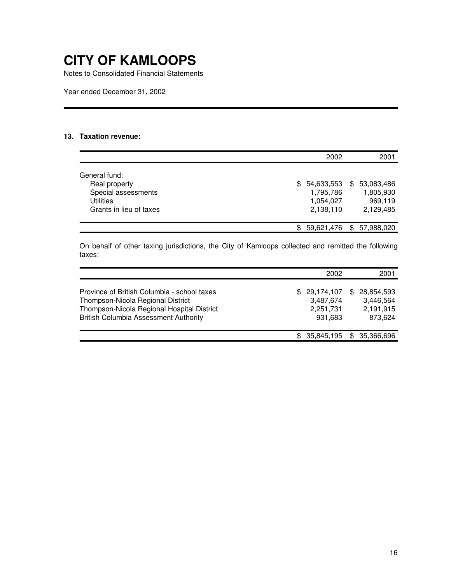Notes to Consolidated Financial Statements

Year ended December 31, 2002

#### **13. Taxation revenue:**

|                                                                                                      | 2002                                                | 2001                                                  |
|------------------------------------------------------------------------------------------------------|-----------------------------------------------------|-------------------------------------------------------|
| General fund:<br>Real property<br>Special assessments<br><b>Utilities</b><br>Grants in lieu of taxes | \$54,633,553<br>1,795,786<br>1,054,027<br>2,138,110 | \$<br>53,083,486<br>1,805,930<br>969,119<br>2,129,485 |
|                                                                                                      | \$59,621,476                                        | \$ 57,988,020                                         |

On behalf of other taxing jurisdictions, the City of Kamloops collected and remitted the following taxes:

|                                                                                                                                                                                | 2002                                               | 2001                                              |
|--------------------------------------------------------------------------------------------------------------------------------------------------------------------------------|----------------------------------------------------|---------------------------------------------------|
| Province of British Columbia - school taxes<br>Thompson-Nicola Regional District<br>Thompson-Nicola Regional Hospital District<br><b>British Columbia Assessment Authority</b> | \$ 29,174,107<br>3,487,674<br>2,251,731<br>931,683 | \$28,854,593<br>3.446.564<br>2,191,915<br>873,624 |
|                                                                                                                                                                                | \$35.845.195                                       | \$ 35,366,696                                     |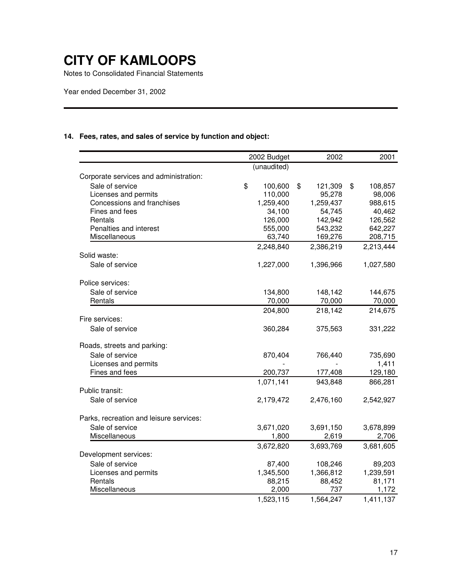Notes to Consolidated Financial Statements

Year ended December 31, 2002

### **14. Fees, rates, and sales of service by function and object:**

|                                         | 2002 Budget   | 2002          | 2001          |
|-----------------------------------------|---------------|---------------|---------------|
|                                         | (unaudited)   |               |               |
| Corporate services and administration:  |               |               |               |
| Sale of service                         | \$<br>100,600 | \$<br>121,309 | \$<br>108,857 |
| Licenses and permits                    | 110,000       | 95,278        | 98,006        |
| Concessions and franchises              | 1,259,400     | 1,259,437     | 988,615       |
| Fines and fees                          | 34,100        | 54,745        | 40,462        |
| Rentals                                 | 126,000       | 142,942       | 126,562       |
| Penalties and interest                  | 555,000       | 543,232       | 642,227       |
| Miscellaneous                           | 63,740        | 169,276       | 208,715       |
|                                         | 2,248,840     | 2,386,219     | 2,213,444     |
| Solid waste:                            |               |               |               |
| Sale of service                         | 1,227,000     | 1,396,966     | 1,027,580     |
| Police services:                        |               |               |               |
| Sale of service                         | 134,800       | 148,142       | 144,675       |
| Rentals                                 | 70,000        | 70,000        | 70,000        |
|                                         | 204,800       | 218,142       | 214,675       |
| Fire services:                          |               |               |               |
| Sale of service                         | 360,284       | 375,563       | 331,222       |
| Roads, streets and parking:             |               |               |               |
| Sale of service                         | 870,404       | 766,440       | 735,690       |
| Licenses and permits                    |               |               | 1,411         |
| Fines and fees                          | 200,737       | 177,408       | 129,180       |
|                                         | 1,071,141     | 943,848       | 866,281       |
| Public transit:                         |               |               |               |
| Sale of service                         | 2,179,472     | 2,476,160     | 2,542,927     |
| Parks, recreation and leisure services: |               |               |               |
| Sale of service                         | 3,671,020     | 3,691,150     | 3,678,899     |
| Miscellaneous                           | 1,800         | 2,619         | 2,706         |
|                                         | 3,672,820     | 3,693,769     | 3,681,605     |
| Development services:                   |               |               |               |
| Sale of service                         | 87,400        | 108,246       | 89,203        |
| Licenses and permits                    | 1,345,500     | 1,366,812     | 1,239,591     |
| Rentals                                 | 88,215        | 88,452        | 81,171        |
| Miscellaneous                           | 2,000         | 737           | 1,172         |
|                                         | 1,523,115     | 1,564,247     | 1,411,137     |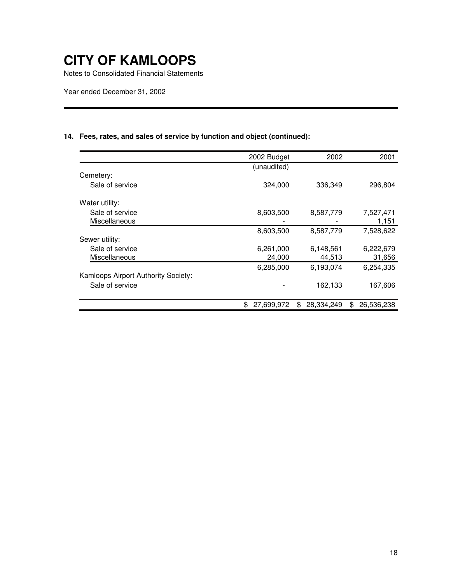Notes to Consolidated Financial Statements

Year ended December 31, 2002

### **14. Fees, rates, and sales of service by function and object (continued):**

|                                     | 2002 Budget       | 2002             | 2001             |
|-------------------------------------|-------------------|------------------|------------------|
|                                     | (unaudited)       |                  |                  |
| Cemetery:                           |                   |                  |                  |
| Sale of service                     | 324,000           | 336,349          | 296,804          |
| Water utility:                      |                   |                  |                  |
| Sale of service                     | 8,603,500         | 8,587,779        | 7,527,471        |
| Miscellaneous                       |                   |                  | 1,151            |
|                                     | 8,603,500         | 8,587,779        | 7,528,622        |
| Sewer utility:                      |                   |                  |                  |
| Sale of service                     | 6,261,000         | 6,148,561        | 6,222,679        |
| Miscellaneous                       | 24,000            | 44,513           | 31,656           |
|                                     | 6,285,000         | 6,193,074        | 6,254,335        |
| Kamloops Airport Authority Society: |                   |                  |                  |
| Sale of service                     |                   | 162,133          | 167,606          |
|                                     | 27,699,972<br>\$. | 28,334,249<br>\$ | 26,536,238<br>S. |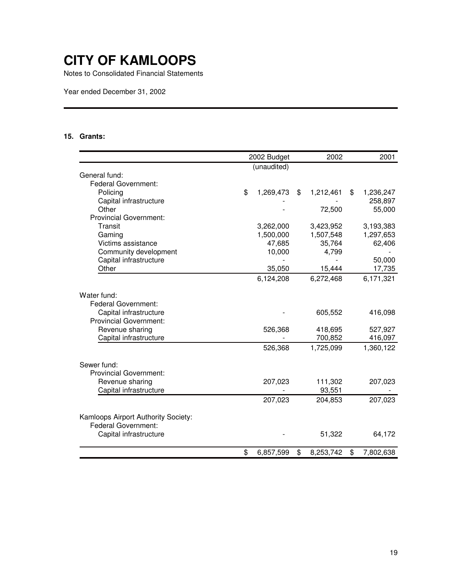Notes to Consolidated Financial Statements

Year ended December 31, 2002

### **15. Grants:**

|                                     | 2002 Budget     | 2002            | 2001            |
|-------------------------------------|-----------------|-----------------|-----------------|
|                                     | (unaudited)     |                 |                 |
| General fund:                       |                 |                 |                 |
| <b>Federal Government:</b>          |                 |                 |                 |
| Policing                            | \$<br>1,269,473 | \$<br>1,212,461 | \$<br>1,236,247 |
| Capital infrastructure              |                 |                 | 258,897         |
| Other                               |                 | 72,500          | 55,000          |
| <b>Provincial Government:</b>       |                 |                 |                 |
| Transit                             | 3,262,000       | 3,423,952       | 3,193,383       |
| Gaming                              | 1,500,000       | 1,507,548       | 1,297,653       |
| Victims assistance                  | 47,685          | 35,764          | 62,406          |
| Community development               | 10,000          | 4,799           |                 |
| Capital infrastructure              |                 |                 | 50,000          |
| Other                               | 35,050          | 15,444          | 17,735          |
|                                     | 6,124,208       | 6,272,468       | 6,171,321       |
| Water fund:                         |                 |                 |                 |
| <b>Federal Government:</b>          |                 |                 |                 |
| Capital infrastructure              |                 | 605,552         | 416,098         |
| <b>Provincial Government:</b>       |                 |                 |                 |
| Revenue sharing                     | 526,368         | 418,695         | 527,927         |
| Capital infrastructure              |                 | 700,852         | 416,097         |
|                                     | 526,368         | 1,725,099       | 1,360,122       |
| Sewer fund:                         |                 |                 |                 |
| <b>Provincial Government:</b>       |                 |                 |                 |
| Revenue sharing                     | 207,023         | 111,302         | 207,023         |
| Capital infrastructure              |                 | 93,551          |                 |
|                                     | 207,023         | 204,853         | 207,023         |
|                                     |                 |                 |                 |
| Kamloops Airport Authority Society: |                 |                 |                 |
| <b>Federal Government:</b>          |                 |                 |                 |
| Capital infrastructure              |                 | 51,322          | 64,172          |
|                                     | \$<br>6,857,599 | \$<br>8,253,742 | \$<br>7,802,638 |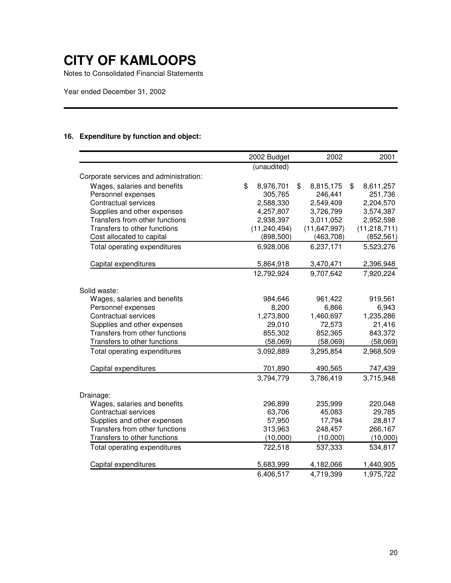Notes to Consolidated Financial Statements

Year ended December 31, 2002

### **16. Expenditure by function and object:**

|                                        | 2002 Budget     | 2002            | 2001            |
|----------------------------------------|-----------------|-----------------|-----------------|
|                                        | (unaudited)     |                 |                 |
| Corporate services and administration: |                 |                 |                 |
| Wages, salaries and benefits           | \$<br>8,976,701 | \$<br>8,815,175 | \$<br>8,611,257 |
| Personnel expenses                     | 305,765         | 246,441         | 251,736         |
| <b>Contractual services</b>            | 2,588,330       | 2,549,409       | 2,204,570       |
| Supplies and other expenses            | 4,257,807       | 3,726,799       | 3,574,387       |
| Transfers from other functions         | 2,938,397       | 3,011,052       | 2,952,598       |
| Transfers to other functions           | (11, 240, 494)  | (11, 647, 997)  | (11, 218, 711)  |
| Cost allocated to capital              | (898, 500)      | (463,708)       | (852, 561)      |
| Total operating expenditures           | 6,928,006       | 6,237,171       | 5,523,276       |
| Capital expenditures                   | 5,864,918       | 3,470,471       | 2,396,948       |
|                                        | 12,792,924      | 9,707,642       | 7,920,224       |
| Solid waste:                           |                 |                 |                 |
| Wages, salaries and benefits           | 984,646         | 961,422         | 919,561         |
| Personnel expenses                     | 8,200           | 6,866           | 6,943           |
| Contractual services                   | 1,273,800       | 1,460,697       | 1,235,286       |
| Supplies and other expenses            | 29,010          | 72,573          | 21,416          |
| Transfers from other functions         | 855,302         | 852,365         | 843,372         |
| Transfers to other functions           | (58,069)        | (58,069)        | (58,069)        |
| Total operating expenditures           | 3,092,889       | 3,295,854       | 2,968,509       |
| Capital expenditures                   | 701,890         | 490,565         | 747,439         |
|                                        | 3,794,779       | 3,786,419       | 3,715,948       |
| Drainage:                              |                 |                 |                 |
| Wages, salaries and benefits           | 296,899         | 235,999         | 220,048         |
| <b>Contractual services</b>            | 63,706          | 45,083          | 29,785          |
| Supplies and other expenses            | 57,950          | 17,794          | 28,817          |
| Transfers from other functions         | 313,963         | 248,457         | 266,167         |
| Transfers to other functions           | (10,000)        | (10,000)        | (10,000)        |
| Total operating expenditures           | 722,518         | 537,333         | 534,817         |
| Capital expenditures                   | 5,683,999       | 4,182,066       | 1,440,905       |
|                                        | 6,406,517       | 4,719,399       | 1,975,722       |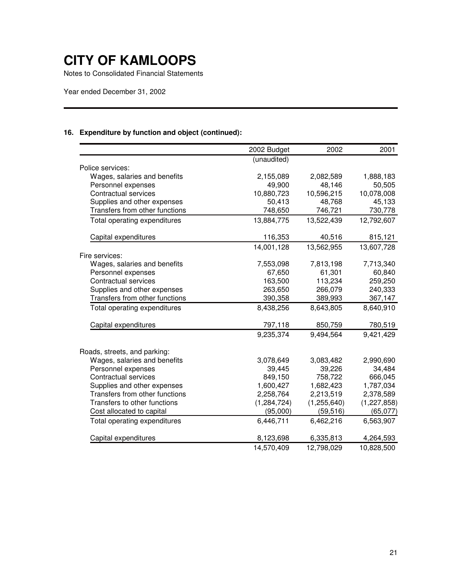Notes to Consolidated Financial Statements

Year ended December 31, 2002

### **16. Expenditure by function and object (continued):**

|                                | 2002 Budget   | 2002          | 2001          |
|--------------------------------|---------------|---------------|---------------|
|                                | (unaudited)   |               |               |
| Police services:               |               |               |               |
| Wages, salaries and benefits   | 2,155,089     | 2,082,589     | 1,888,183     |
| Personnel expenses             | 49,900        | 48,146        | 50,505        |
| Contractual services           | 10,880,723    | 10,596,215    | 10,078,008    |
| Supplies and other expenses    | 50,413        | 48,768        | 45,133        |
| Transfers from other functions | 748,650       | 746,721       | 730,778       |
| Total operating expenditures   | 13,884,775    | 13,522,439    | 12,792,607    |
| Capital expenditures           | 116,353       | 40,516        | 815,121       |
|                                | 14,001,128    | 13,562,955    | 13,607,728    |
| Fire services:                 |               |               |               |
| Wages, salaries and benefits   | 7,553,098     | 7,813,198     | 7,713,340     |
| Personnel expenses             | 67,650        | 61,301        | 60,840        |
| Contractual services           | 163,500       | 113,234       | 259,250       |
| Supplies and other expenses    | 263,650       | 266,079       | 240,333       |
| Transfers from other functions | 390,358       | 389,993       | 367,147       |
| Total operating expenditures   | 8,438,256     | 8,643,805     | 8,640,910     |
| Capital expenditures           | 797,118       | 850,759       | 780,519       |
|                                | 9,235,374     | 9,494,564     | 9,421,429     |
| Roads, streets, and parking:   |               |               |               |
| Wages, salaries and benefits   | 3,078,649     | 3,083,482     | 2,990,690     |
| Personnel expenses             | 39,445        | 39,226        | 34,484        |
| Contractual services           | 849,150       | 758,722       | 666,045       |
| Supplies and other expenses    | 1,600,427     | 1,682,423     | 1,787,034     |
| Transfers from other functions | 2,258,764     | 2,213,519     | 2,378,589     |
| Transfers to other functions   | (1, 284, 724) | (1, 255, 640) | (1, 227, 858) |
| Cost allocated to capital      | (95,000)      | (59, 516)     | (65, 077)     |
| Total operating expenditures   | 6,446,711     | 6,462,216     | 6,563,907     |
| Capital expenditures           | 8,123,698     | 6,335,813     | 4,264,593     |
|                                | 14,570,409    | 12,798,029    | 10,828,500    |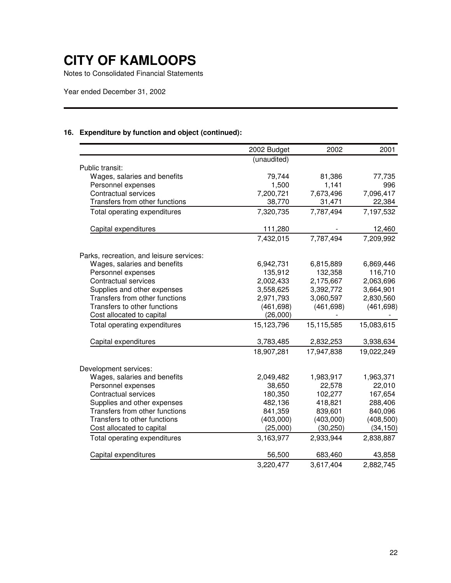Notes to Consolidated Financial Statements

Year ended December 31, 2002

### **16. Expenditure by function and object (continued):**

|                                          | 2002 Budget | 2002       | 2001       |
|------------------------------------------|-------------|------------|------------|
|                                          | (unaudited) |            |            |
| Public transit:                          |             |            |            |
| Wages, salaries and benefits             | 79,744      | 81,386     | 77,735     |
| Personnel expenses                       | 1,500       | 1,141      | 996        |
| Contractual services                     | 7,200,721   | 7,673,496  | 7,096,417  |
| Transfers from other functions           | 38,770      | 31,471     | 22,384     |
| Total operating expenditures             | 7,320,735   | 7,787,494  | 7,197,532  |
| Capital expenditures                     | 111,280     |            | 12,460     |
|                                          | 7,432,015   | 7,787,494  | 7,209,992  |
| Parks, recreation, and leisure services: |             |            |            |
| Wages, salaries and benefits             | 6,942,731   | 6,815,889  | 6,869,446  |
| Personnel expenses                       | 135,912     | 132,358    | 116,710    |
| Contractual services                     | 2,002,433   | 2,175,667  | 2,063,696  |
| Supplies and other expenses              | 3,558,625   | 3,392,772  | 3,664,901  |
| Transfers from other functions           | 2,971,793   | 3,060,597  | 2,830,560  |
| Transfers to other functions             | (461, 698)  | (461, 698) | (461, 698) |
| Cost allocated to capital                | (26,000)    |            |            |
| Total operating expenditures             | 15,123,796  | 15,115,585 | 15,083,615 |
| Capital expenditures                     | 3,783,485   | 2,832,253  | 3,938,634  |
|                                          | 18,907,281  | 17,947,838 | 19,022,249 |
| Development services:                    |             |            |            |
| Wages, salaries and benefits             | 2,049,482   | 1,983,917  | 1,963,371  |
| Personnel expenses                       | 38,650      | 22,578     | 22,010     |
| Contractual services                     | 180,350     | 102,277    | 167,654    |
| Supplies and other expenses              | 482,136     | 418,821    | 288,406    |
| Transfers from other functions           | 841,359     | 839,601    | 840,096    |
| Transfers to other functions             | (403,000)   | (403,000)  | (408, 500) |
| Cost allocated to capital                | (25,000)    | (30, 250)  | (34, 150)  |
| Total operating expenditures             | 3,163,977   | 2,933,944  | 2,838,887  |
| Capital expenditures                     | 56,500      | 683,460    | 43,858     |
|                                          | 3,220,477   | 3,617,404  | 2,882,745  |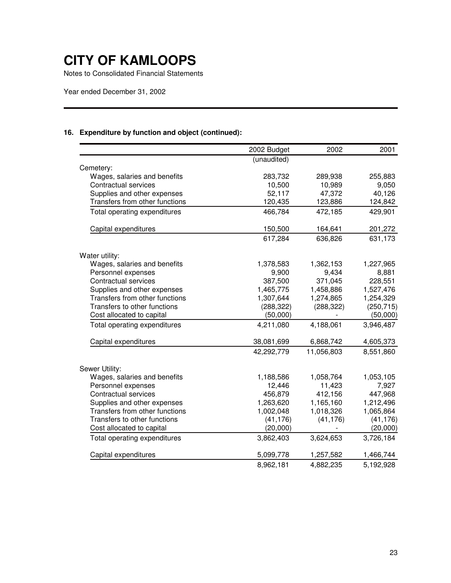Notes to Consolidated Financial Statements

Year ended December 31, 2002

### **16. Expenditure by function and object (continued):**

|                                | 2002 Budget | 2002       | 2001       |
|--------------------------------|-------------|------------|------------|
|                                | (unaudited) |            |            |
| Cemetery:                      |             |            |            |
| Wages, salaries and benefits   | 283,732     | 289,938    | 255,883    |
| Contractual services           | 10,500      | 10,989     | 9,050      |
| Supplies and other expenses    | 52,117      | 47,372     | 40,126     |
| Transfers from other functions | 120,435     | 123,886    | 124,842    |
| Total operating expenditures   | 466,784     | 472,185    | 429,901    |
| Capital expenditures           | 150,500     | 164,641    | 201,272    |
|                                | 617,284     | 636,826    | 631,173    |
| Water utility:                 |             |            |            |
| Wages, salaries and benefits   | 1,378,583   | 1,362,153  | 1,227,965  |
| Personnel expenses             | 9,900       | 9,434      | 8,881      |
| Contractual services           | 387,500     | 371,045    | 228,551    |
| Supplies and other expenses    | 1,465,775   | 1,458,886  | 1,527,476  |
| Transfers from other functions | 1,307,644   | 1,274,865  | 1,254,329  |
| Transfers to other functions   | (288, 322)  | (288, 322) | (250, 715) |
| Cost allocated to capital      | (50,000)    |            | (50,000)   |
| Total operating expenditures   | 4,211,080   | 4,188,061  | 3,946,487  |
| Capital expenditures           | 38,081,699  | 6,868,742  | 4,605,373  |
|                                | 42,292,779  | 11,056,803 | 8,551,860  |
| Sewer Utility:                 |             |            |            |
| Wages, salaries and benefits   | 1,188,586   | 1,058,764  | 1,053,105  |
| Personnel expenses             | 12,446      | 11,423     | 7,927      |
| Contractual services           | 456,879     | 412,156    | 447,968    |
| Supplies and other expenses    | 1,263,620   | 1,165,160  | 1,212,496  |
| Transfers from other functions | 1,002,048   | 1,018,326  | 1,065,864  |
| Transfers to other functions   | (41, 176)   | (41, 176)  | (41, 176)  |
| Cost allocated to capital      | (20,000)    |            | (20,000)   |
| Total operating expenditures   | 3,862,403   | 3,624,653  | 3,726,184  |
| Capital expenditures           | 5,099,778   | 1,257,582  | 1,466,744  |
|                                | 8,962,181   | 4,882,235  | 5,192,928  |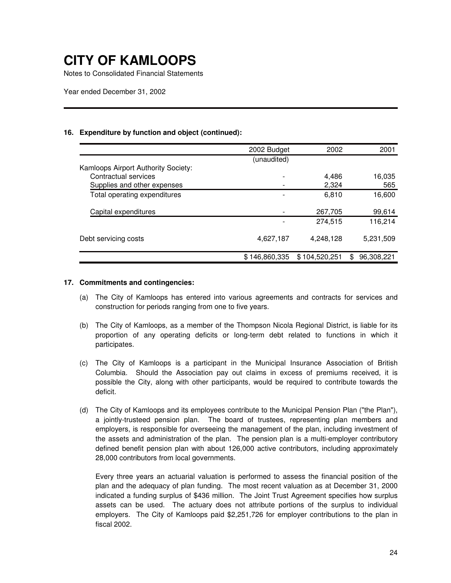Notes to Consolidated Financial Statements

Year ended December 31, 2002

### **16. Expenditure by function and object (continued):**

| 2002 Budget   | 2002          | 2001              |
|---------------|---------------|-------------------|
| (unaudited)   |               |                   |
|               |               |                   |
|               | 4,486         | 16,035            |
|               | 2,324         | 565               |
|               | 6.810         | 16,600            |
|               | 267,705       | 99,614            |
|               | 274.515       | 116,214           |
| 4,627,187     | 4,248,128     | 5,231,509         |
| \$146,860,335 | \$104,520,251 | 96,308,221<br>\$. |
|               |               |                   |

#### **17. Commitments and contingencies:**

- (a) The City of Kamloops has entered into various agreements and contracts for services and construction for periods ranging from one to five years.
- (b) The City of Kamloops, as a member of the Thompson Nicola Regional District, is liable for its proportion of any operating deficits or long-term debt related to functions in which it participates.
- (c) The City of Kamloops is a participant in the Municipal Insurance Association of British Columbia. Should the Association pay out claims in excess of premiums received, it is possible the City, along with other participants, would be required to contribute towards the deficit.
- (d) The City of Kamloops and its employees contribute to the Municipal Pension Plan ("the Plan"), a jointly-trusteed pension plan. The board of trustees, representing plan members and employers, is responsible for overseeing the management of the plan, including investment of the assets and administration of the plan. The pension plan is a multi-employer contributory defined benefit pension plan with about 126,000 active contributors, including approximately 28,000 contributors from local governments.

Every three years an actuarial valuation is performed to assess the financial position of the plan and the adequacy of plan funding. The most recent valuation as at December 31, 2000 indicated a funding surplus of \$436 million. The Joint Trust Agreement specifies how surplus assets can be used. The actuary does not attribute portions of the surplus to individual employers. The City of Kamloops paid \$2,251,726 for employer contributions to the plan in fiscal 2002.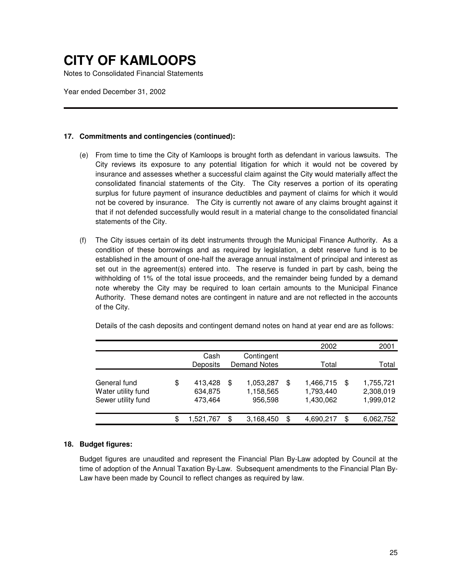Notes to Consolidated Financial Statements

Year ended December 31, 2002

#### **17. Commitments and contingencies (continued):**

- (e) From time to time the City of Kamloops is brought forth as defendant in various lawsuits. The City reviews its exposure to any potential litigation for which it would not be covered by insurance and assesses whether a successful claim against the City would materially affect the consolidated financial statements of the City. The City reserves a portion of its operating surplus for future payment of insurance deductibles and payment of claims for which it would not be covered by insurance. The City is currently not aware of any claims brought against it that if not defended successfully would result in a material change to the consolidated financial statements of the City.
- (f) The City issues certain of its debt instruments through the Municipal Finance Authority. As a condition of these borrowings and as required by legislation, a debt reserve fund is to be established in the amount of one-half the average annual instalment of principal and interest as set out in the agreement(s) entered into. The reserve is funded in part by cash, being the withholding of 1% of the total issue proceeds, and the remainder being funded by a demand note whereby the City may be required to loan certain amounts to the Municipal Finance Authority. These demand notes are contingent in nature and are not reflected in the accounts of the City.

| Details of the cash deposits and contingent demand notes on hand at year end are as follows: |  |  |  |
|----------------------------------------------------------------------------------------------|--|--|--|
|                                                                                              |  |  |  |

|                                                          |                                     |                                         | 2002                                      | 2001                                      |
|----------------------------------------------------------|-------------------------------------|-----------------------------------------|-------------------------------------------|-------------------------------------------|
|                                                          | Cash<br><b>Deposits</b>             | Contingent<br><b>Demand Notes</b>       | Total                                     | Total                                     |
| General fund<br>Water utility fund<br>Sewer utility fund | \$<br>413.428<br>634,875<br>473,464 | \$<br>1,053,287<br>1,158,565<br>956,598 | \$<br>1,466,715<br>1,793,440<br>1,430,062 | \$<br>1,755,721<br>2,308,019<br>1,999,012 |
|                                                          | \$<br>1.521.767                     | \$<br>3,168,450                         | \$<br>4,690,217                           | \$<br>6,062,752                           |

#### **18. Budget figures:**

Budget figures are unaudited and represent the Financial Plan By-Law adopted by Council at the time of adoption of the Annual Taxation By-Law. Subsequent amendments to the Financial Plan By-Law have been made by Council to reflect changes as required by law.